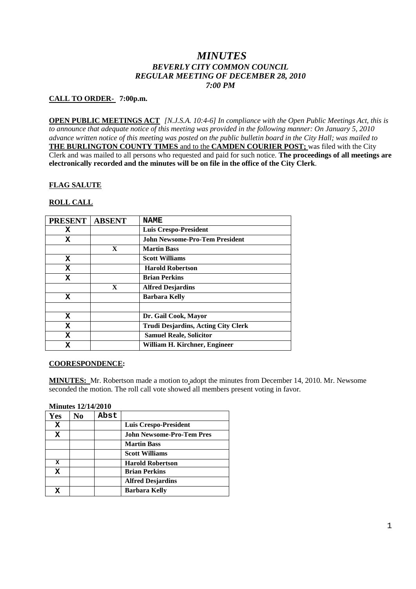# *MINUTES BEVERLY CITY COMMON COUNCIL REGULAR MEETING OF DECEMBER 28, 2010 7:00 PM*

## **CALL TO ORDER- 7:00p.m.**

**OPEN PUBLIC MEETINGS ACT** *[N.J.S.A. 10:4-6] In compliance with the Open Public Meetings Act, this is to announce that adequate notice of this meeting was provided in the following manner: On January 5, 2010 advance written notice of this meeting was posted on the public bulletin board in the City Hall; was mailed to* **THE BURLINGTON COUNTY TIMES** and to the **CAMDEN COURIER POST;** was filed with the City Clerk and was mailed to all persons who requested and paid for such notice. **The proceedings of all meetings are electronically recorded and the minutes will be on file in the office of the City Clerk**.

## **FLAG SALUTE**

## **ROLL CALL**

| <b>PRESENT</b> | <b>ABSENT</b> | <b>NAME</b>                                |
|----------------|---------------|--------------------------------------------|
| X              |               | <b>Luis Crespo-President</b>               |
| x              |               | <b>John Newsome-Pro-Tem President</b>      |
|                | $\mathbf{x}$  | <b>Martin Bass</b>                         |
| X              |               | <b>Scott Williams</b>                      |
| X              |               | <b>Harold Robertson</b>                    |
| X              |               | <b>Brian Perkins</b>                       |
|                | $\mathbf X$   | <b>Alfred Desjardins</b>                   |
| x              |               | <b>Barbara Kelly</b>                       |
|                |               |                                            |
| X              |               | Dr. Gail Cook, Mayor                       |
| X              |               | <b>Trudi Desjardins, Acting City Clerk</b> |
| X              |               | <b>Samuel Reale, Solicitor</b>             |
| X              |               | William H. Kirchner, Engineer              |

### **COORESPONDENCE:**

**MINUTES:** Mr. Robertson made a motion to adopt the minutes from December 14, 2010. Mr. Newsome seconded the motion. The roll call vote showed all members present voting in favor.

#### **Minutes 12/14/2010**

| Yes | N <sub>0</sub> | Abst |                                  |
|-----|----------------|------|----------------------------------|
| X   |                |      | <b>Luis Crespo-President</b>     |
| X   |                |      | <b>John Newsome-Pro-Tem Pres</b> |
|     |                |      | <b>Martin Bass</b>               |
|     |                |      | <b>Scott Williams</b>            |
| X   |                |      | <b>Harold Robertson</b>          |
| X   |                |      | <b>Brian Perkins</b>             |
|     |                |      | <b>Alfred Desjardins</b>         |
|     |                |      | <b>Barbara Kelly</b>             |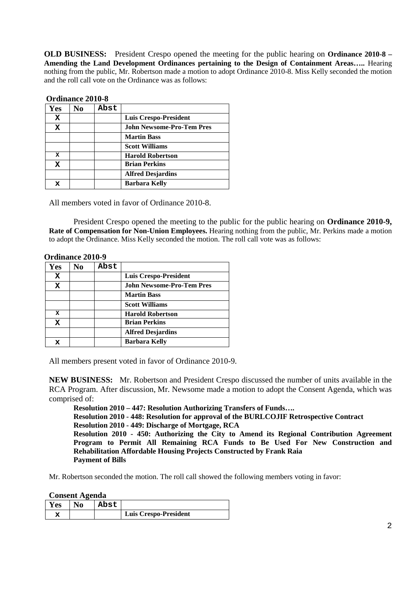**OLD BUSINESS:** President Crespo opened the meeting for the public hearing on **Ordinance 2010-8 – Amending the Land Development Ordinances pertaining to the Design of Containment Areas…..** Hearing nothing from the public, Mr. Robertson made a motion to adopt Ordinance 2010-8. Miss Kelly seconded the motion and the roll call vote on the Ordinance was as follows:

|     | OF GHILD LOTER AVIO-0 |      |                                  |  |
|-----|-----------------------|------|----------------------------------|--|
| Yes | No                    | Abst |                                  |  |
| x   |                       |      | Luis Crespo-President            |  |
| x   |                       |      | <b>John Newsome-Pro-Tem Pres</b> |  |
|     |                       |      | <b>Martin Bass</b>               |  |
|     |                       |      | <b>Scott Williams</b>            |  |
| x   |                       |      | <b>Harold Robertson</b>          |  |
| x   |                       |      | <b>Brian Perkins</b>             |  |
|     |                       |      | <b>Alfred Desjardins</b>         |  |
| x   |                       |      | <b>Barbara Kelly</b>             |  |

**Ordinance 2010-8**

All members voted in favor of Ordinance 2010-8.

President Crespo opened the meeting to the public for the public hearing on **Ordinance 2010-9, Rate of Compensation for Non-Union Employees.** Hearing nothing from the public, Mr. Perkins made a motion to adopt the Ordinance. Miss Kelly seconded the motion. The roll call vote was as follows:

|             | <b>Ordinance 2010-9</b> |      |                                  |
|-------------|-------------------------|------|----------------------------------|
| Yes         | N0                      | Abst |                                  |
| x           |                         |      | <b>Luis Crespo-President</b>     |
| x           |                         |      | <b>John Newsome-Pro-Tem Pres</b> |
|             |                         |      | <b>Martin Bass</b>               |
|             |                         |      | <b>Scott Williams</b>            |
| x           |                         |      | <b>Harold Robertson</b>          |
| $\mathbf x$ |                         |      | <b>Brian Perkins</b>             |
|             |                         |      | <b>Alfred Desjardins</b>         |
| x           |                         |      | <b>Barbara Kelly</b>             |

All members present voted in favor of Ordinance 2010-9.

**NEW BUSINESS:** Mr. Robertson and President Crespo discussed the number of units available in the RCA Program. After discussion, Mr. Newsome made a motion to adopt the Consent Agenda, which was comprised of:

**Resolution 2010 – 447: Resolution Authorizing Transfers of Funds…. Resolution 2010 - 448: Resolution for approval of the BURLCOJIF Retrospective Contract Resolution 2010 - 449: Discharge of Mortgage, RCA Resolution 2010 - 450: Authorizing the City to Amend its Regional Contribution Agreement Program to Permit All Remaining RCA Funds to Be Used For New Construction and Rehabilitation Affordable Housing Projects Constructed by Frank Raia Payment of Bills**

Mr. Robertson seconded the motion. The roll call showed the following members voting in favor:

**Consent Agenda**

| <b>Yes</b> | N0 | Abst |                              |
|------------|----|------|------------------------------|
|            |    |      | <b>Luis Crespo-President</b> |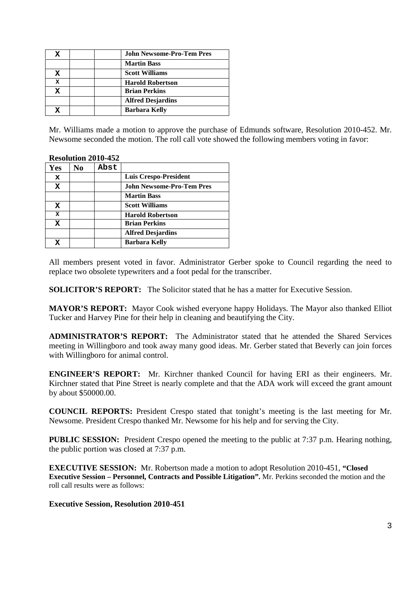|   |  | <b>John Newsome-Pro-Tem Pres</b> |
|---|--|----------------------------------|
|   |  | <b>Martin Bass</b>               |
| x |  | <b>Scott Williams</b>            |
| x |  | <b>Harold Robertson</b>          |
| x |  | <b>Brian Perkins</b>             |
|   |  | <b>Alfred Desjardins</b>         |
|   |  | <b>Barbara Kelly</b>             |

Mr. Williams made a motion to approve the purchase of Edmunds software, Resolution 2010-452. Mr. Newsome seconded the motion. The roll call vote showed the following members voting in favor:

|     |    | 1000100012017777 |                                  |
|-----|----|------------------|----------------------------------|
| Yes | No | Abst             |                                  |
| x   |    |                  | Luis Crespo-President            |
| x   |    |                  | <b>John Newsome-Pro-Tem Pres</b> |
|     |    |                  | <b>Martin Bass</b>               |
| x   |    |                  | <b>Scott Williams</b>            |
| x   |    |                  | <b>Harold Robertson</b>          |
| x   |    |                  | <b>Brian Perkins</b>             |
|     |    |                  | <b>Alfred Desjardins</b>         |
| X   |    |                  | Barbara Kelly                    |

# **Resolution 2010-452**

All members present voted in favor. Administrator Gerber spoke to Council regarding the need to replace two obsolete typewriters and a foot pedal for the transcriber.

**SOLICITOR'S REPORT:** The Solicitor stated that he has a matter for Executive Session.

**MAYOR'S REPORT:** Mayor Cook wished everyone happy Holidays. The Mayor also thanked Elliot Tucker and Harvey Pine for their help in cleaning and beautifying the City.

**ADMINISTRATOR'S REPORT:** The Administrator stated that he attended the Shared Services meeting in Willingboro and took away many good ideas. Mr. Gerber stated that Beverly can join forces with Willingboro for animal control.

**ENGINEER'S REPORT:** Mr. Kirchner thanked Council for having ERI as their engineers. Mr. Kirchner stated that Pine Street is nearly complete and that the ADA work will exceed the grant amount by about \$50000.00.

**COUNCIL REPORTS:** President Crespo stated that tonight's meeting is the last meeting for Mr. Newsome. President Crespo thanked Mr. Newsome for his help and for serving the City.

**PUBLIC SESSION:** President Crespo opened the meeting to the public at 7:37 p.m. Hearing nothing, the public portion was closed at 7:37 p.m.

**EXECUTIVE SESSION:** Mr. Robertson made a motion to adopt Resolution 2010-451, **"Closed Executive Session – Personnel, Contracts and Possible Litigation".** Mr. Perkins seconded the motion and the roll call results were as follows:

### **Executive Session, Resolution 2010-451**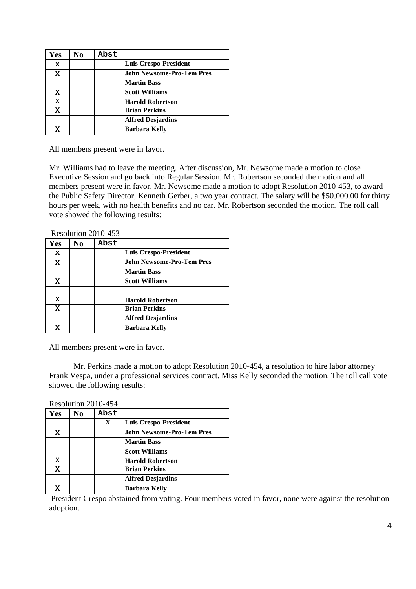| Yes | No | Abst |                                  |
|-----|----|------|----------------------------------|
| x   |    |      | <b>Luis Crespo-President</b>     |
| x   |    |      | <b>John Newsome-Pro-Tem Pres</b> |
|     |    |      | <b>Martin Bass</b>               |
| x   |    |      | <b>Scott Williams</b>            |
| x   |    |      | <b>Harold Robertson</b>          |
| x   |    |      | <b>Brian Perkins</b>             |
|     |    |      | <b>Alfred Desjardins</b>         |
|     |    |      | <b>Barbara Kelly</b>             |

All members present were in favor.

Mr. Williams had to leave the meeting. After discussion, Mr. Newsome made a motion to close Executive Session and go back into Regular Session. Mr. Robertson seconded the motion and all members present were in favor. Mr. Newsome made a motion to adopt Resolution 2010-453, to award the Public Safety Director, Kenneth Gerber, a two year contract. The salary will be \$50,000.00 for thirty hours per week, with no health benefits and no car. Mr. Robertson seconded the motion. The roll call vote showed the following results:

|     |     | Resolution 2010-453 |                                  |
|-----|-----|---------------------|----------------------------------|
| Yes | No. | Abst                |                                  |
| x   |     |                     | <b>Luis Crespo-President</b>     |
| x   |     |                     | <b>John Newsome-Pro-Tem Pres</b> |
|     |     |                     | <b>Martin Bass</b>               |
| x   |     |                     | <b>Scott Williams</b>            |
|     |     |                     |                                  |
| x   |     |                     | <b>Harold Robertson</b>          |
| x   |     |                     | <b>Brian Perkins</b>             |
|     |     |                     | <b>Alfred Desjardins</b>         |
| X   |     |                     | <b>Barbara Kelly</b>             |

All members present were in favor.

Mr. Perkins made a motion to adopt Resolution 2010-454, a resolution to hire labor attorney Frank Vespa, under a professional services contract. Miss Kelly seconded the motion. The roll call vote showed the following results:

Resolution 2010-454

| Yes | No | Abst |                                  |
|-----|----|------|----------------------------------|
|     |    | X    | <b>Luis Crespo-President</b>     |
| x   |    |      | <b>John Newsome-Pro-Tem Pres</b> |
|     |    |      | <b>Martin Bass</b>               |
|     |    |      | <b>Scott Williams</b>            |
| x   |    |      | <b>Harold Robertson</b>          |
| x   |    |      | <b>Brian Perkins</b>             |
|     |    |      | <b>Alfred Desjardins</b>         |
|     |    |      | <b>Barbara Kelly</b>             |

President Crespo abstained from voting. Four members voted in favor, none were against the resolution adoption.